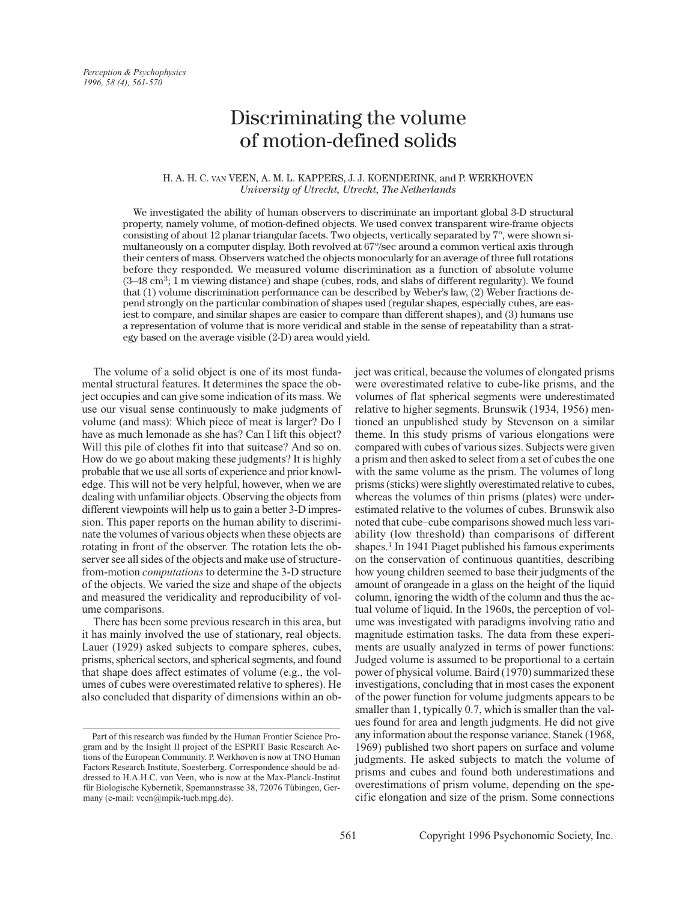# Discriminating the volume of motion-defined solids

# H. A. H. C. VAN VEEN, A. M. L. KAPPERS, J. J. KOENDERINK, and P. WERKHOVEN *University of Utrecht, Utrecht, The Netherlands*

We investigated the ability of human observers to discriminate an important global 3-D structural property, namely volume, of motion-defined objects. We used convex transparent wire-frame objects consisting of about 12 planar triangular facets. Two objects, vertically separated by 7º, were shown simultaneously on a computer display. Both revolved at 67º/sec around a common vertical axis through their centers of mass. Observers watched the objects monocularly for an average of three full rotations before they responded. We measured volume discrimination as a function of absolute volume  $(3-48 \text{ cm}^3; 1 \text{ m}$  viewing distance) and shape (cubes, rods, and slabs of different regularity). We found that (1) volume discrimination performance can be described by Weber's law, (2) Weber fractions depend strongly on the particular combination of shapes used (regular shapes, especially cubes, are easiest to compare, and similar shapes are easier to compare than different shapes), and (3) humans use a representation of volume that is more veridical and stable in the sense of repeatability than a strategy based on the average visible (2-D) area would yield.

The volume of a solid object is one of its most fundamental structural features. It determines the space the object occupies and can give some indication of its mass. We use our visual sense continuously to make judgments of volume (and mass): Which piece of meat is larger? Do I have as much lemonade as she has? Can I lift this object? Will this pile of clothes fit into that suitcase? And so on. How do we go about making these judgments? It is highly probable that we use all sorts of experience and prior knowledge. This will not be very helpful, however, when we are dealing with unfamiliar objects. Observing the objects from different viewpoints will help us to gain a better 3-D impression. This paper reports on the human ability to discriminate the volumes of various objects when these objects are rotating in front of the observer. The rotation lets the observer see all sides of the objects and make use of structurefrom-motion *computations* to determine the 3-D structure of the objects. We varied the size and shape of the objects and measured the veridicality and reproducibility of volume comparisons.

There has been some previous research in this area, but it has mainly involved the use of stationary, real objects. Lauer (1929) asked subjects to compare spheres, cubes, prisms, spherical sectors, and spherical segments, and found that shape does affect estimates of volume (e.g., the volumes of cubes were overestimated relative to spheres). He also concluded that disparity of dimensions within an object was critical, because the volumes of elongated prisms were overestimated relative to cube-like prisms, and the volumes of flat spherical segments were underestimated relative to higher segments. Brunswik (1934, 1956) mentioned an unpublished study by Stevenson on a similar theme. In this study prisms of various elongations were compared with cubes of various sizes. Subjects were given a prism and then asked to select from a set of cubes the one with the same volume as the prism. The volumes of long prisms (sticks) were slightly overestimated relative to cubes, whereas the volumes of thin prisms (plates) were underestimated relative to the volumes of cubes. Brunswik also noted that cube–cube comparisons showed much less variability (low threshold) than comparisons of different shapes.<sup>1</sup> In 1941 Piaget published his famous experiments on the conservation of continuous quantities, describing how young children seemed to base their judgments of the amount of orangeade in a glass on the height of the liquid column, ignoring the width of the column and thus the actual volume of liquid. In the 1960s, the perception of volume was investigated with paradigms involving ratio and magnitude estimation tasks. The data from these experiments are usually analyzed in terms of power functions: Judged volume is assumed to be proportional to a certain power of physical volume. Baird (1970) summarized these investigations, concluding that in most cases the exponent of the power function for volume judgments appears to be smaller than 1, typically 0.7, which is smaller than the values found for area and length judgments. He did not give any information about the response variance. Stanek (1968, 1969) published two short papers on surface and volume judgments. He asked subjects to match the volume of prisms and cubes and found both underestimations and overestimations of prism volume, depending on the specific elongation and size of the prism. Some connections

Part of this research was funded by the Human Frontier Science Program and by the Insight II project of the ESPRIT Basic Research Actions of the European Community. P. Werkhoven is now at TNO Human Factors Research Institute, Soesterberg. Correspondence should be addressed to H.A.H.C. van Veen, who is now at the Max-Planck-Institut für Biologische Kybernetik, Spemannstrasse 38, 72076 Tübingen, Germany (e-mail: veen@mpik-tueb.mpg.de).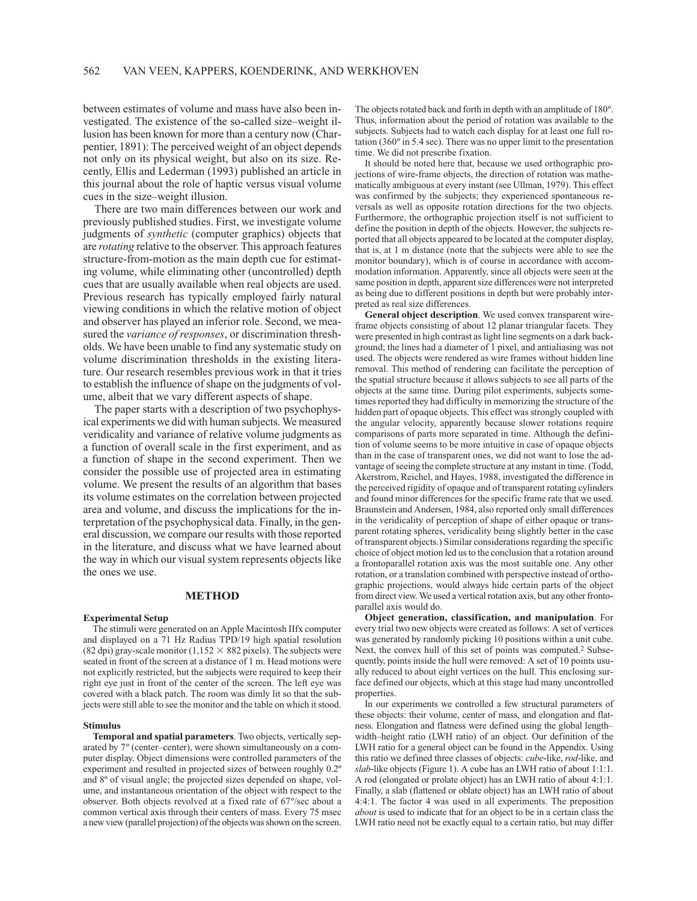between estimates of volume and mass have also been investigated. The existence of the so-called size–weight illusion has been known for more than a century now (Charpentier, 1891): The perceived weight of an object depends not only on its physical weight, but also on its size. Recently, Ellis and Lederman (1993) published an article in this journal about the role of haptic versus visual volume cues in the size–weight illusion.

There are two main differences between our work and previously published studies. First, we investigate volume judgments of *synthetic* (computer graphics) objects that are *rotating* relative to the observer. This approach features structure-from-motion as the main depth cue for estimating volume, while eliminating other (uncontrolled) depth cues that are usually available when real objects are used. Previous research has typically employed fairly natural viewing conditions in which the relative motion of object and observer has played an inferior role. Second, we measured the *variance of responses*, or discrimination thresholds. We have been unable to find any systematic study on volume discrimination thresholds in the existing literature. Our research resembles previous work in that it tries to establish the influence of shape on the judgments of volume, albeit that we vary different aspects of shape.

The paper starts with a description of two psychophysical experiments we did with human subjects. We measured veridicality and variance of relative volume judgments as a function of overall scale in the first experiment, and as a function of shape in the second experiment. Then we consider the possible use of projected area in estimating volume. We present the results of an algorithm that bases its volume estimates on the correlation between projected area and volume, and discuss the implications for the interpretation of the psychophysical data. Finally, in the general discussion, we compare our results with those reported in the literature, and discuss what we have learned about the way in which our visual system represents objects like the ones we use.

### **METHOD**

#### **Experimental Setup**

The stimuli were generated on an Apple Macintosh IIfx computer and displayed on a 71 Hz Radius TPD/19 high spatial resolution (82 dpi) gray-scale monitor (1,152  $\times$  882 pixels). The subjects were seated in front of the screen at a distance of 1 m. Head motions were not explicitly restricted, but the subjects were required to keep their right eye just in front of the center of the screen. The left eye was covered with a black patch. The room was dimly lit so that the subjects were still able to see the monitor and the table on which it stood.

#### **Stimulus**

**Temporal and spatial parameters**. Two objects, vertically separated by 7º (center–center), were shown simultaneously on a computer display. Object dimensions were controlled parameters of the experiment and resulted in projected sizes of between roughly 0.2º and 8º of visual angle; the projected sizes depended on shape, volume, and instantaneous orientation of the object with respect to the observer. Both objects revolved at a fixed rate of 67º/sec about a common vertical axis through their centers of mass. Every 75 msec a new view (parallel projection) of the objects was shown on the screen.

The objects rotated back and forth in depth with an amplitude of 180º. Thus, information about the period of rotation was available to the subjects. Subjects had to watch each display for at least one full rotation (360º in 5.4 sec). There was no upper limit to the presentation time. We did not prescribe fixation.

It should be noted here that, because we used orthographic projections of wire-frame objects, the direction of rotation was mathematically ambiguous at every instant (see Ullman, 1979). This effect was confirmed by the subjects; they experienced spontaneous reversals as well as opposite rotation directions for the two objects. Furthermore, the orthographic projection itself is not sufficient to define the position in depth of the objects. However, the subjects reported that all objects appeared to be located at the computer display, that is, at 1 m distance (note that the subjects were able to see the monitor boundary), which is of course in accordance with accommodation information. Apparently, since all objects were seen at the same position in depth, apparent size differences were not interpreted as being due to different positions in depth but were probably interpreted as real size differences.

**General object description**. We used convex transparent wireframe objects consisting of about 12 planar triangular facets. They were presented in high contrast as light line segments on a dark background; the lines had a diameter of 1 pixel, and antialiasing was not used. The objects were rendered as wire frames without hidden line removal. This method of rendering can facilitate the perception of the spatial structure because it allows subjects to see all parts of the objects at the same time. During pilot experiments, subjects sometimes reported they had difficulty in memorizing the structure of the hidden part of opaque objects. This effect was strongly coupled with the angular velocity, apparently because slower rotations require comparisons of parts more separated in time. Although the definition of volume seems to be more intuitive in case of opaque objects than in the case of transparent ones, we did not want to lose the advantage of seeing the complete structure at any instant in time. (Todd, Akerstrom, Reichel, and Hayes, 1988, investigated the difference in the perceived rigidity of opaque and of transparent rotating cylinders and found minor differences for the specific frame rate that we used. Braunstein and Andersen, 1984, also reported only small differences in the veridicality of perception of shape of either opaque or transparent rotating spheres, veridicality being slightly better in the case of transparent objects.) Similar considerations regarding the specific choice of object motion led us to the conclusion that a rotation around a frontoparallel rotation axis was the most suitable one. Any other rotation, or a translation combined with perspective instead of orthographic projections, would always hide certain parts of the object from direct view. We used a vertical rotation axis, but any other frontoparallel axis would do.

**Object generation, classification, and manipulation**. For every trial two new objects were created as follows: A set of vertices was generated by randomly picking 10 positions within a unit cube. Next, the convex hull of this set of points was computed.<sup>2</sup> Subsequently, points inside the hull were removed: A set of 10 points usually reduced to about eight vertices on the hull. This enclosing surface defined our objects, which at this stage had many uncontrolled properties.

In our experiments we controlled a few structural parameters of these objects: their volume, center of mass, and elongation and flatness. Elongation and flatness were defined using the global length– width–height ratio (LWH ratio) of an object. Our definition of the LWH ratio for a general object can be found in the Appendix. Using this ratio we defined three classes of objects: *cube*-like, *rod*-like, and *slab*-like objects (Figure 1). A cube has an LWH ratio of about 1:1:1. A rod (elongated or prolate object) has an LWH ratio of about 4:1:1. Finally, a slab (flattened or oblate object) has an LWH ratio of about 4:4:1. The factor 4 was used in all experiments. The preposition *about* is used to indicate that for an object to be in a certain class the LWH ratio need not be exactly equal to a certain ratio, but may differ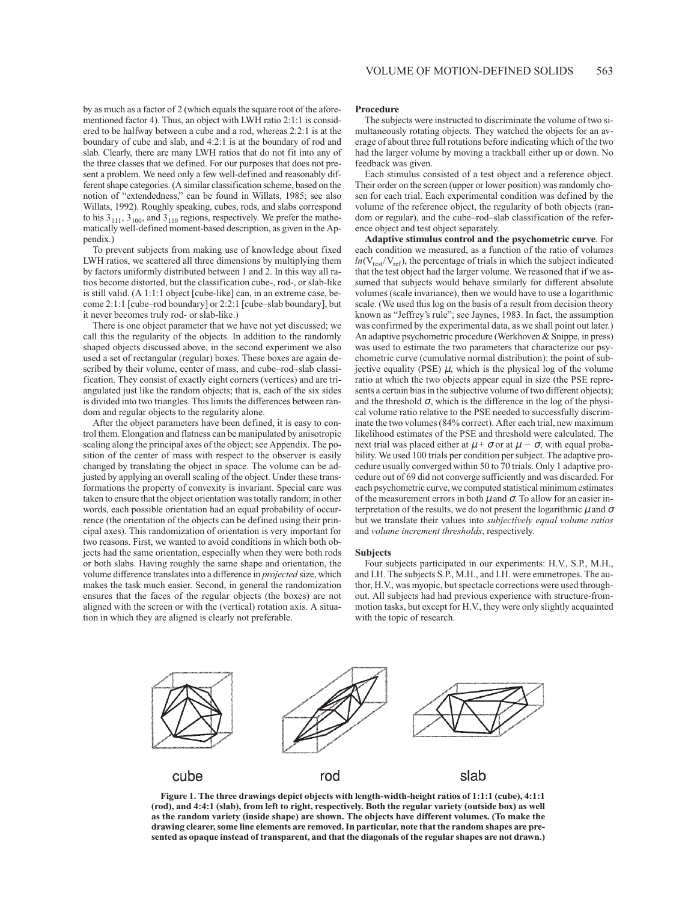by as much as a factor of 2 (which equals the square root of the aforementioned factor 4). Thus, an object with LWH ratio 2:1:1 is considered to be halfway between a cube and a rod, whereas 2:2:1 is at the boundary of cube and slab, and 4:2:1 is at the boundary of rod and slab. Clearly, there are many LWH ratios that do not fit into any of the three classes that we defined. For our purposes that does not present a problem. We need only a few well-defined and reasonably different shape categories. (A similar classification scheme, based on the notion of "extendedness," can be found in Willats, 1985; see also Willats, 1992). Roughly speaking, cubes, rods, and slabs correspond to his  $3<sub>111</sub>, 3<sub>100</sub>$ , and  $3<sub>110</sub>$  regions, respectively. We prefer the mathematically well-defined moment-based description, as given in the Appendix.)

To prevent subjects from making use of knowledge about fixed LWH ratios, we scattered all three dimensions by multiplying them by factors uniformly distributed between 1 and 2. In this way all ratios become distorted, but the classification cube-, rod-, or slab-like is still valid. (A 1:1:1 object [cube-like] can, in an extreme case, become 2:1:1 [cube–rod boundary] or 2:2:1 [cube–slab boundary], but it never becomes truly rod- or slab-like.)

There is one object parameter that we have not yet discussed; we call this the regularity of the objects. In addition to the randomly shaped objects discussed above, in the second experiment we also used a set of rectangular (regular) boxes. These boxes are again described by their volume, center of mass, and cube–rod–slab classification. They consist of exactly eight corners (vertices) and are triangulated just like the random objects; that is, each of the six sides is divided into two triangles. This limits the differences between random and regular objects to the regularity alone.

After the object parameters have been defined, it is easy to control them. Elongation and flatness can be manipulated by anisotropic scaling along the principal axes of the object; see Appendix. The position of the center of mass with respect to the observer is easily changed by translating the object in space. The volume can be adjusted by applying an overall scaling of the object. Under these transformations the property of convexity is invariant. Special care was taken to ensure that the object orientation was totally random; in other words, each possible orientation had an equal probability of occurrence (the orientation of the objects can be defined using their principal axes). This randomization of orientation is very important for two reasons. First, we wanted to avoid conditions in which both objects had the same orientation, especially when they were both rods or both slabs. Having roughly the same shape and orientation, the volume difference translates into a difference in *projected* size, which makes the task much easier. Second, in general the randomization ensures that the faces of the regular objects (the boxes) are not aligned with the screen or with the (vertical) rotation axis. A situation in which they are aligned is clearly not preferable.

#### **Procedure**

The subjects were instructed to discriminate the volume of two simultaneously rotating objects. They watched the objects for an average of about three full rotations before indicating which of the two had the larger volume by moving a trackball either up or down. No feedback was given.

Each stimulus consisted of a test object and a reference object. Their order on the screen (upper or lower position) was randomly chosen for each trial. Each experimental condition was defined by the volume of the reference object, the regularity of both objects (random or regular), and the cube–rod–slab classification of the reference object and test object separately.

**Adaptive stimulus control and the psychometric curve**. For each condition we measured, as a function of the ratio of volumes  $ln(V_{\text{test}}/V_{\text{ref}})$ , the percentage of trials in which the subject indicated that the test object had the larger volume. We reasoned that if we assumed that subjects would behave similarly for different absolute volumes (scale invariance), then we would have to use a logarithmic scale. (We used this log on the basis of a result from decision theory known as "Jeffrey's rule"; see Jaynes, 1983. In fact, the assumption was confirmed by the experimental data, as we shall point out later.) An adaptive psychometric procedure (Werkhoven & Snippe, in press) was used to estimate the two parameters that characterize our psychometric curve (cumulative normal distribution): the point of subjective equality (PSE)  $\mu$ , which is the physical log of the volume ratio at which the two objects appear equal in size (the PSE represents a certain bias in the subjective volume of two different objects); and the threshold  $\sigma$ , which is the difference in the log of the physical volume ratio relative to the PSE needed to successfully discriminate the two volumes (84% correct). After each trial, new maximum likelihood estimates of the PSE and threshold were calculated. The next trial was placed either at  $\mu + \sigma$  or at  $\mu - \sigma$ , with equal probability. We used 100 trials per condition per subject. The adaptive procedure usually converged within 50 to 70 trials. Only 1 adaptive procedure out of 69 did not converge sufficiently and was discarded. For each psychometric curve, we computed statistical minimum estimates of the measurement errors in both  $\mu$  and  $\sigma$ . To allow for an easier interpretation of the results, we do not present the logarithmic  $\mu$  and  $\sigma$ but we translate their values into *subjectively equal volume ratios* and *volume increment thresholds*, respectively.

#### **Subjects**

Four subjects participated in our experiments: H.V., S.P., M.H., and I.H. The subjects S.P., M.H., and I.H. were emmetropes. The author, H.V., was myopic, but spectacle corrections were used throughout. All subjects had had previous experience with structure-frommotion tasks, but except for H.V., they were only slightly acquainted with the topic of research.



**Figure 1. The three drawings depict objects with length-width-height ratios of 1:1:1 (cube), 4:1:1 (rod), and 4:4:1 (slab), from left to right, respectively. Both the regular variety (outside box) as well as the random variety (inside shape) are shown. The objects have different volumes. (To make the drawing clearer, some line elements are removed. In particular, note that the random shapes are presented as opaque instead of transparent, and that the diagonals of the regular shapes are not drawn.)**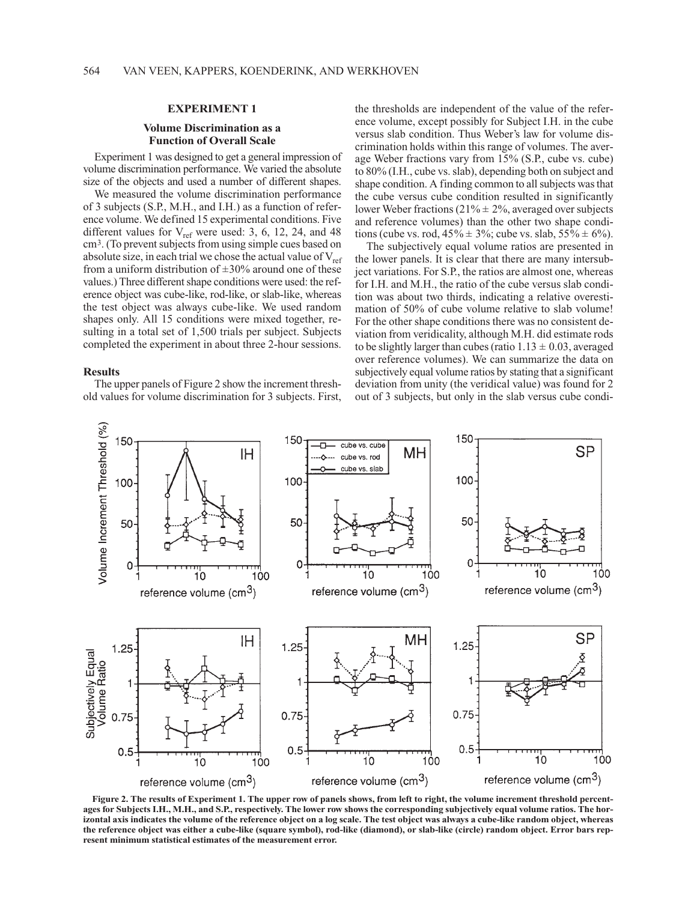## **EXPERIMENT 1**

# **Volume Discrimination as a Function of Overall Scale**

Experiment 1 was designed to get a general impression of volume discrimination performance. We varied the absolute size of the objects and used a number of different shapes.

We measured the volume discrimination performance of 3 subjects (S.P., M.H., and I.H.) as a function of reference volume. We defined 15 experimental conditions. Five different values for  $V_{ref}$  were used: 3, 6, 12, 24, and 48 cm3. (To prevent subjects from using simple cues based on absolute size, in each trial we chose the actual value of  $V_{ref}$ from a uniform distribution of  $\pm 30\%$  around one of these values.) Three different shape conditions were used: the reference object was cube-like, rod-like, or slab-like, whereas the test object was always cube-like. We used random shapes only. All 15 conditions were mixed together, resulting in a total set of 1,500 trials per subject. Subjects completed the experiment in about three 2-hour sessions.

the thresholds are independent of the value of the reference volume, except possibly for Subject I.H. in the cube versus slab condition. Thus Weber's law for volume discrimination holds within this range of volumes. The average Weber fractions vary from 15% (S.P., cube vs. cube) to 80% (I.H., cube vs. slab), depending both on subject and shape condition. A finding common to all subjects was that the cube versus cube condition resulted in significantly lower Weber fractions ( $21\% \pm 2\%$ , averaged over subjects and reference volumes) than the other two shape conditions (cube vs. rod,  $45\% \pm 3\%$ ; cube vs. slab,  $55\% \pm 6\%$ ).

The subjectively equal volume ratios are presented in the lower panels. It is clear that there are many intersubject variations. For S.P., the ratios are almost one, whereas for I.H. and M.H., the ratio of the cube versus slab condition was about two thirds, indicating a relative overestimation of 50% of cube volume relative to slab volume! For the other shape conditions there was no consistent deviation from veridicality, although M.H. did estimate rods to be slightly larger than cubes (ratio  $1.13 \pm 0.03$ , averaged over reference volumes). We can summarize the data on subjectively equal volume ratios by stating that a significant deviation from unity (the veridical value) was found for 2 out of 3 subjects, but only in the slab versus cube condi-

#### **Results**

The upper panels of Figure 2 show the increment threshold values for volume discrimination for 3 subjects. First,



**Figure 2. The results of Experiment 1. The upper row of panels shows, from left to right, the volume increment threshold percentages for Subjects I.H., M.H., and S.P., respectively. The lower row shows the corresponding subjectively equal volume ratios. The horizontal axis indicates the volume of the reference object on a log scale. The test object was always a cube-like random object, whereas the reference object was either a cube-like (square symbol), rod-like (diamond), or slab-like (circle) random object. Error bars represent minimum statistical estimates of the measurement error.**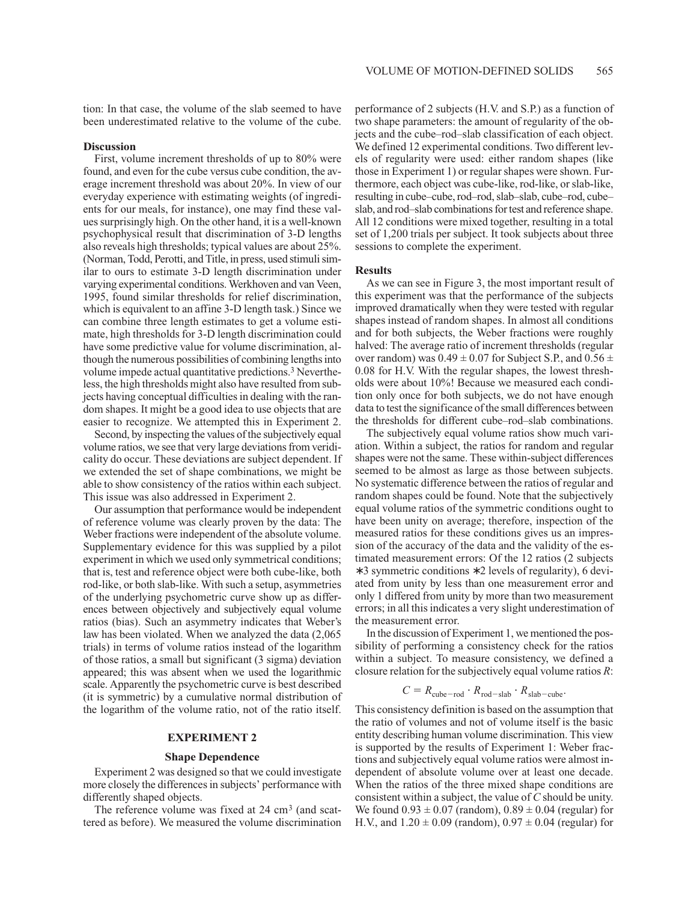### **Discussion**

First, volume increment thresholds of up to 80% were found, and even for the cube versus cube condition, the average increment threshold was about 20%. In view of our everyday experience with estimating weights (of ingredients for our meals, for instance), one may find these values surprisingly high. On the other hand, it is a well-known psychophysical result that discrimination of 3-D lengths also reveals high thresholds; typical values are about 25%. (Norman, Todd, Perotti, and Title, in press, used stimuli similar to ours to estimate 3-D length discrimination under varying experimental conditions. Werkhoven and van Veen, 1995, found similar thresholds for relief discrimination, which is equivalent to an affine 3-D length task.) Since we can combine three length estimates to get a volume estimate, high thresholds for 3-D length discrimination could have some predictive value for volume discrimination, although the numerous possibilities of combining lengths into volume impede actual quantitative predictions.3 Nevertheless, the high thresholds might also have resulted from subjects having conceptual difficulties in dealing with the random shapes. It might be a good idea to use objects that are easier to recognize. We attempted this in Experiment 2.

Second, by inspecting the values of the subjectively equal volume ratios, we see that very large deviations from veridicality do occur. These deviations are subject dependent. If we extended the set of shape combinations, we might be able to show consistency of the ratios within each subject. This issue was also addressed in Experiment 2.

Our assumption that performance would be independent of reference volume was clearly proven by the data: The Weber fractions were independent of the absolute volume. Supplementary evidence for this was supplied by a pilot experiment in which we used only symmetrical conditions; that is, test and reference object were both cube-like, both rod-like, or both slab-like. With such a setup, asymmetries of the underlying psychometric curve show up as differences between objectively and subjectively equal volume ratios (bias). Such an asymmetry indicates that Weber's law has been violated. When we analyzed the data (2,065 trials) in terms of volume ratios instead of the logarithm of those ratios, a small but significant (3 sigma) deviation appeared; this was absent when we used the logarithmic scale. Apparently the psychometric curve is best described (it is symmetric) by a cumulative normal distribution of the logarithm of the volume ratio, not of the ratio itself.

### **EXPERIMENT 2**

### **Shape Dependence**

Experiment 2 was designed so that we could investigate more closely the differences in subjects' performance with differently shaped objects.

The reference volume was fixed at 24 cm<sup>3</sup> (and scattered as before). We measured the volume discrimination

performance of 2 subjects (H.V. and S.P.) as a function of two shape parameters: the amount of regularity of the objects and the cube–rod–slab classification of each object. We defined 12 experimental conditions. Two different levels of regularity were used: either random shapes (like those in Experiment 1) or regular shapes were shown. Furthermore, each object was cube-like, rod-like, or slab-like, resulting in cube–cube, rod–rod, slab–slab, cube–rod, cube– slab, and rod–slab combinations for test and reference shape. All 12 conditions were mixed together, resulting in a total set of 1,200 trials per subject. It took subjects about three sessions to complete the experiment.

### **Results**

As we can see in Figure 3, the most important result of this experiment was that the performance of the subjects improved dramatically when they were tested with regular shapes instead of random shapes. In almost all conditions and for both subjects, the Weber fractions were roughly halved: The average ratio of increment thresholds (regular over random) was  $0.49 \pm 0.07$  for Subject S.P., and  $0.56 \pm$ 0.08 for H.V. With the regular shapes, the lowest thresholds were about 10%! Because we measured each condition only once for both subjects, we do not have enough data to test the significance of the small differences between the thresholds for different cube–rod–slab combinations.

The subjectively equal volume ratios show much variation. Within a subject, the ratios for random and regular shapes were not the same. These within-subject differences seemed to be almost as large as those between subjects. No systematic difference between the ratios of regular and random shapes could be found. Note that the subjectively equal volume ratios of the symmetric conditions ought to have been unity on average; therefore, inspection of the measured ratios for these conditions gives us an impression of the accuracy of the data and the validity of the estimated measurement errors: Of the 12 ratios (2 subjects ∗ 3 symmetric conditions ∗ 2 levels of regularity), 6 deviated from unity by less than one measurement error and only 1 differed from unity by more than two measurement errors; in all this indicates a very slight underestimation of the measurement error.

In the discussion of Experiment 1, we mentioned the possibility of performing a consistency check for the ratios within a subject. To measure consistency, we defined a closure relation for the subjectively equal volume ratios *R*:

$$
C = R_{\text{cube-rod}} \cdot R_{\text{rod-shell}} \cdot R_{\text{slab-cube}}.
$$

This consistency definition is based on the assumption that the ratio of volumes and not of volume itself is the basic entity describing human volume discrimination. This view is supported by the results of Experiment 1: Weber fractions and subjectively equal volume ratios were almost independent of absolute volume over at least one decade. When the ratios of the three mixed shape conditions are consistent within a subject, the value of *C* should be unity. We found  $0.93 \pm 0.07$  (random),  $0.89 \pm 0.04$  (regular) for H.V., and  $1.20 \pm 0.09$  (random),  $0.97 \pm 0.04$  (regular) for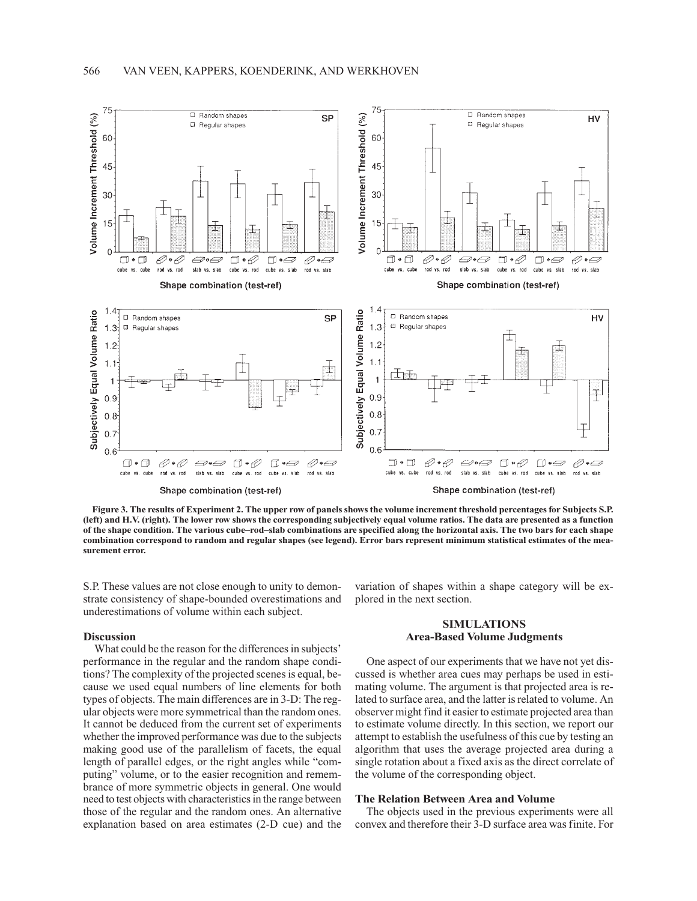

**Figure 3. The results of Experiment 2. The upper row of panels shows the volume increment threshold percentages for Subjects S.P. (left) and H.V. (right). The lower row shows the corresponding subjectively equal volume ratios. The data are presented as a function of the shape condition. The various cube–rod–slab combinations are specified along the horizontal axis. The two bars for each shape combination correspond to random and regular shapes (see legend). Error bars represent minimum statistical estimates of the measurement error.**

S.P. These values are not close enough to unity to demonstrate consistency of shape-bounded overestimations and underestimations of volume within each subject.

### **Discussion**

What could be the reason for the differences in subjects' performance in the regular and the random shape conditions? The complexity of the projected scenes is equal, because we used equal numbers of line elements for both types of objects. The main differences are in 3-D: The regular objects were more symmetrical than the random ones. It cannot be deduced from the current set of experiments whether the improved performance was due to the subjects making good use of the parallelism of facets, the equal length of parallel edges, or the right angles while "computing" volume, or to the easier recognition and remembrance of more symmetric objects in general. One would need to test objects with characteristics in the range between those of the regular and the random ones. An alternative explanation based on area estimates (2-D cue) and the

variation of shapes within a shape category will be explored in the next section.

# **SIMULATIONS Area-Based Volume Judgments**

One aspect of our experiments that we have not yet discussed is whether area cues may perhaps be used in estimating volume. The argument is that projected area is related to surface area, and the latter is related to volume. An observer might find it easier to estimate projected area than to estimate volume directly. In this section, we report our attempt to establish the usefulness of this cue by testing an algorithm that uses the average projected area during a single rotation about a fixed axis as the direct correlate of the volume of the corresponding object.

# **The Relation Between Area and Volume**

The objects used in the previous experiments were all convex and therefore their 3-D surface area was finite. For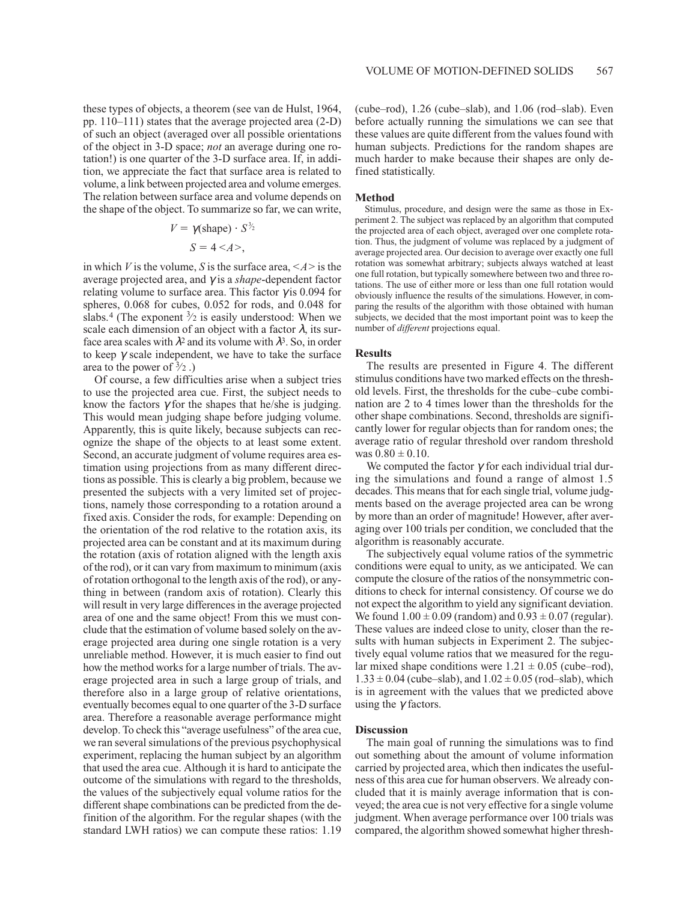these types of objects, a theorem (see van de Hulst, 1964, pp. 110–111) states that the average projected area (2-D) of such an object (averaged over all possible orientations of the object in 3-D space; *not* an average during one rotation!) is one quarter of the 3-D surface area. If, in addition, we appreciate the fact that surface area is related to volume, a link between projected area and volume emerges. The relation between surface area and volume depends on the shape of the object. To summarize so far, we can write,

$$
V = \gamma(\text{shape}) \cdot S^{3/2}
$$

$$
S = 4 \langle A \rangle,
$$

in which *V* is the volume, *S* is the surface area,  $\leq A$  is the average projected area, and γ is a *shape*-dependent factor relating volume to surface area. This factor  $\gamma$  is 0.094 for spheres, 0.068 for cubes, 0.052 for rods, and 0.048 for slabs.<sup>4</sup> (The exponent  $\frac{3}{2}$  is easily understood: When we scale each dimension of an object with a factor  $\lambda$ , its surface area scales with  $\lambda^2$  and its volume with  $\lambda^3$ . So, in order to keep  $\gamma$  scale independent, we have to take the surface area to the power of  $\frac{3}{2}$ .)

Of course, a few difficulties arise when a subject tries to use the projected area cue. First, the subject needs to know the factors  $\gamma$  for the shapes that he/she is judging. This would mean judging shape before judging volume. Apparently, this is quite likely, because subjects can recognize the shape of the objects to at least some extent. Second, an accurate judgment of volume requires area estimation using projections from as many different directions as possible. This is clearly a big problem, because we presented the subjects with a very limited set of projections, namely those corresponding to a rotation around a fixed axis. Consider the rods, for example: Depending on the orientation of the rod relative to the rotation axis, its projected area can be constant and at its maximum during the rotation (axis of rotation aligned with the length axis of the rod), or it can vary from maximum to minimum (axis of rotation orthogonal to the length axis of the rod), or anything in between (random axis of rotation). Clearly this will result in very large differences in the average projected area of one and the same object! From this we must conclude that the estimation of volume based solely on the average projected area during one single rotation is a very unreliable method. However, it is much easier to find out how the method works for a large number of trials. The average projected area in such a large group of trials, and therefore also in a large group of relative orientations, eventually becomes equal to one quarter of the 3-D surface area. Therefore a reasonable average performance might develop. To check this "average usefulness" of the area cue, we ran several simulations of the previous psychophysical experiment, replacing the human subject by an algorithm that used the area cue. Although it is hard to anticipate the outcome of the simulations with regard to the thresholds, the values of the subjectively equal volume ratios for the different shape combinations can be predicted from the definition of the algorithm. For the regular shapes (with the standard LWH ratios) we can compute these ratios: 1.19

(cube–rod), 1.26 (cube–slab), and 1.06 (rod–slab). Even before actually running the simulations we can see that these values are quite different from the values found with human subjects. Predictions for the random shapes are much harder to make because their shapes are only defined statistically.

# **Method**

Stimulus, procedure, and design were the same as those in Experiment 2. The subject was replaced by an algorithm that computed the projected area of each object, averaged over one complete rotation. Thus, the judgment of volume was replaced by a judgment of average projected area. Our decision to average over exactly one full rotation was somewhat arbitrary; subjects always watched at least one full rotation, but typically somewhere between two and three rotations. The use of either more or less than one full rotation would obviously influence the results of the simulations. However, in comparing the results of the algorithm with those obtained with human subjects, we decided that the most important point was to keep the number of *different* projections equal.

# **Results**

The results are presented in Figure 4. The different stimulus conditions have two marked effects on the threshold levels. First, the thresholds for the cube–cube combination are 2 to 4 times lower than the thresholds for the other shape combinations. Second, thresholds are significantly lower for regular objects than for random ones; the average ratio of regular threshold over random threshold was  $0.80 \pm 0.10$ .

We computed the factor  $\gamma$  for each individual trial during the simulations and found a range of almost 1.5 decades. This means that for each single trial, volume judgments based on the average projected area can be wrong by more than an order of magnitude! However, after averaging over 100 trials per condition, we concluded that the algorithm is reasonably accurate.

The subjectively equal volume ratios of the symmetric conditions were equal to unity, as we anticipated. We can compute the closure of the ratios of the nonsymmetric conditions to check for internal consistency. Of course we do not expect the algorithm to yield any significant deviation. We found  $1.00 \pm 0.09$  (random) and  $0.93 \pm 0.07$  (regular). These values are indeed close to unity, closer than the results with human subjects in Experiment 2. The subjectively equal volume ratios that we measured for the regular mixed shape conditions were  $1.21 \pm 0.05$  (cube–rod),  $1.33 \pm 0.04$  (cube–slab), and  $1.02 \pm 0.05$  (rod–slab), which is in agreement with the values that we predicted above using the  $\gamma$  factors.

# **Discussion**

The main goal of running the simulations was to find out something about the amount of volume information carried by projected area, which then indicates the usefulness of this area cue for human observers. We already concluded that it is mainly average information that is conveyed; the area cue is not very effective for a single volume judgment. When average performance over 100 trials was compared, the algorithm showed somewhat higher thresh-

VOLUME OF MOTION-DEFINED SOLIDS 567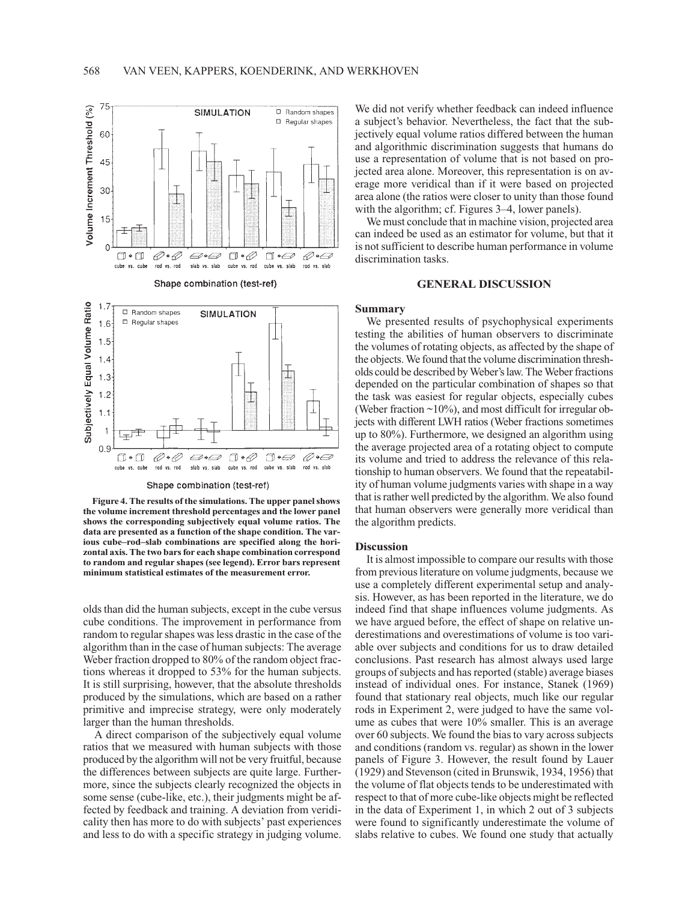![](_page_7_Figure_1.jpeg)

#### Shape combination (test-ref)

**Figure 4. The results of the simulations. The upper panel shows the volume increment threshold percentages and the lower panel shows the corresponding subjectively equal volume ratios. The data are presented as a function of the shape condition. The various cube–rod–slab combinations are specified along the horizontal axis. The two bars for each shape combination correspond to random and regular shapes (see legend). Error bars represent minimum statistical estimates of the measurement error.**

olds than did the human subjects, except in the cube versus cube conditions. The improvement in performance from random to regular shapes was less drastic in the case of the algorithm than in the case of human subjects: The average Weber fraction dropped to 80% of the random object fractions whereas it dropped to 53% for the human subjects. It is still surprising, however, that the absolute thresholds produced by the simulations, which are based on a rather primitive and imprecise strategy, were only moderately larger than the human thresholds.

A direct comparison of the subjectively equal volume ratios that we measured with human subjects with those produced by the algorithm will not be very fruitful, because the differences between subjects are quite large. Furthermore, since the subjects clearly recognized the objects in some sense (cube-like, etc.), their judgments might be affected by feedback and training. A deviation from veridicality then has more to do with subjects' past experiences and less to do with a specific strategy in judging volume.

We did not verify whether feedback can indeed influence a subject's behavior. Nevertheless, the fact that the subjectively equal volume ratios differed between the human and algorithmic discrimination suggests that humans do use a representation of volume that is not based on projected area alone. Moreover, this representation is on average more veridical than if it were based on projected area alone (the ratios were closer to unity than those found with the algorithm; cf. Figures 3–4, lower panels).

We must conclude that in machine vision, projected area can indeed be used as an estimator for volume, but that it is not sufficient to describe human performance in volume discrimination tasks.

### **GENERAL DISCUSSION**

#### **Summary**

We presented results of psychophysical experiments testing the abilities of human observers to discriminate the volumes of rotating objects, as affected by the shape of the objects. We found that the volume discrimination thresholds could be described by Weber's law. The Weber fractions depended on the particular combination of shapes so that the task was easiest for regular objects, especially cubes (Weber fraction  $\sim$ 10%), and most difficult for irregular objects with different LWH ratios (Weber fractions sometimes up to 80%). Furthermore, we designed an algorithm using the average projected area of a rotating object to compute its volume and tried to address the relevance of this relationship to human observers. We found that the repeatability of human volume judgments varies with shape in a way that is rather well predicted by the algorithm. We also found that human observers were generally more veridical than the algorithm predicts.

### **Discussion**

It is almost impossible to compare our results with those from previous literature on volume judgments, because we use a completely different experimental setup and analysis. However, as has been reported in the literature, we do indeed find that shape influences volume judgments. As we have argued before, the effect of shape on relative underestimations and overestimations of volume is too variable over subjects and conditions for us to draw detailed conclusions. Past research has almost always used large groups of subjects and has reported (stable) average biases instead of individual ones. For instance, Stanek (1969) found that stationary real objects, much like our regular rods in Experiment 2, were judged to have the same volume as cubes that were 10% smaller. This is an average over 60 subjects. We found the bias to vary across subjects and conditions (random vs. regular) as shown in the lower panels of Figure 3. However, the result found by Lauer (1929) and Stevenson (cited in Brunswik, 1934, 1956) that the volume of flat objects tends to be underestimated with respect to that of more cube-like objects might be reflected in the data of Experiment 1, in which 2 out of 3 subjects were found to significantly underestimate the volume of slabs relative to cubes. We found one study that actually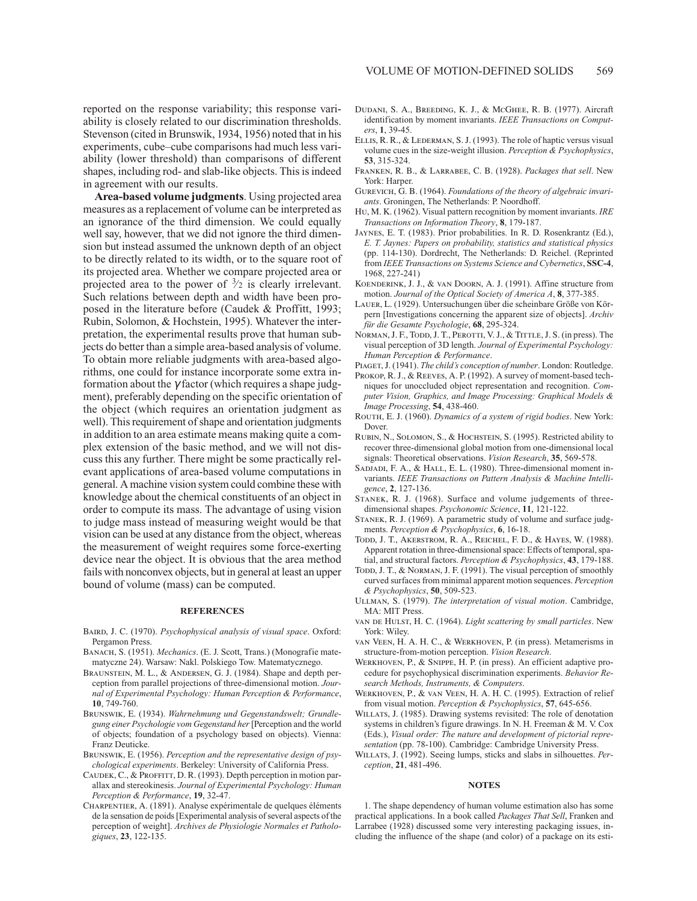reported on the response variability; this response variability is closely related to our discrimination thresholds. Stevenson (cited in Brunswik, 1934, 1956) noted that in his experiments, cube–cube comparisons had much less variability (lower threshold) than comparisons of different shapes, including rod- and slab-like objects. This is indeed in agreement with our results.

**Area-based volume judgments**. Using projected area measures as a replacement of volume can be interpreted as an ignorance of the third dimension. We could equally well say, however, that we did not ignore the third dimension but instead assumed the unknown depth of an object to be directly related to its width, or to the square root of its projected area. Whether we compare projected area or projected area to the power of  $\frac{3}{2}$  is clearly irrelevant. Such relations between depth and width have been proposed in the literature before (Caudek & Proffitt, 1993; Rubin, Solomon, & Hochstein, 1995). Whatever the interpretation, the experimental results prove that human subjects do better than a simple area-based analysis of volume. To obtain more reliable judgments with area-based algorithms, one could for instance incorporate some extra information about the  $\gamma$  factor (which requires a shape judgment), preferably depending on the specific orientation of the object (which requires an orientation judgment as well). This requirement of shape and orientation judgments in addition to an area estimate means making quite a complex extension of the basic method, and we will not discuss this any further. There might be some practically relevant applications of area-based volume computations in general. A machine vision system could combine these with knowledge about the chemical constituents of an object in order to compute its mass. The advantage of using vision to judge mass instead of measuring weight would be that vision can be used at any distance from the object, whereas the measurement of weight requires some force-exerting device near the object. It is obvious that the area method fails with nonconvex objects, but in general at least an upper bound of volume (mass) can be computed.

#### **REFERENCES**

- Baird, J. C. (1970). *Psychophysical analysis of visual space*. Oxford: Pergamon Press.
- BANACH, S. (1951). *Mechanics*. (E. J. Scott, Trans.) (Monografie matematyczne 24). Warsaw: Nakl. Polskiego Tow. Matematycznego.
- BRAUNSTEIN, M. L., & ANDERSEN, G. J. (1984). Shape and depth perception from parallel projections of three-dimensional motion. *Journal of Experimental Psychology: Human Perception & Performance*, **10**, 749-760.
- Brunswik, E. (1934). *Wahrnehmung und Gegenstandswelt; Grundlegung einer Psychologie vom Gegenstand her* [Perception and the world of objects; foundation of a psychology based on objects). Vienna: Franz Deuticke.
- Brunswik, E. (1956). *Perception and the representative design of psychological experiments*. Berkeley: University of California Press.
- CAUDEK, C., & PROFFITT, D. R. (1993). Depth perception in motion parallax and stereokinesis. *Journal of Experimental Psychology: Human Perception & Performance*, **19**, 32-47.
- Charpentier, A. (1891). Analyse expérimentale de quelques éléments de la sensation de poids [Experimental analysis of several aspects of the perception of weight]. *Archives de Physiologie Normales et Pathologiques*, **23**, 122-135.
- Dudani, S. A., Breeding, K. J., & McGhee, R. B. (1977). Aircraft identification by moment invariants. *IEEE Transactions on Computers*, **1**, 39-45.
- ELLIS, R. R., & LEDERMAN, S. J. (1993). The role of haptic versus visual volume cues in the size-weight illusion. *Perception & Psychophysics*, **53**, 315-324.
- Franken, R. B., & Larrabee, C. B. (1928). *Packages that sell*. New York: Harper.
- Gurevich, G. B. (1964). *Foundations of the theory of algebraic invariants*. Groningen, The Netherlands: P. Noordhoff.
- Hu, M. K. (1962). Visual pattern recognition by moment invariants. *IRE Transactions on Information Theory*, **8**, 179-187.
- Jaynes, E. T. (1983). Prior probabilities. In R. D. Rosenkrantz (Ed.), *E. T. Jaynes: Papers on probability, statistics and statistical physics* (pp. 114-130). Dordrecht, The Netherlands: D. Reichel. (Reprinted from *IEEE Transactions on Systems Science and Cybernetics*, **SSC-4**, 1968, 227-241)
- Koenderink, J. J., & van Doorn, A. J. (1991). Affine structure from motion. *Journal of the Optical Society of America A*, **8**, 377-385.
- Lauer, L. (1929). Untersuchungen über die scheinbare Größe von Körpern [Investigations concerning the apparent size of objects]. *Archiv für die Gesamte Psychologie*, **68**, 295-324.
- NORMAN, J. F., TODD, J. T., PEROTTI, V. J., & TITTLE, J. S. (in press). The visual perception of 3D length. *Journal of Experimental Psychology: Human Perception & Performance*.
- PIAGET, J. (1941). *The child's conception of number*. London: Routledge.
- PROKOP, R. J., & REEVES, A. P. (1992). A survey of moment-based techniques for unoccluded object representation and recognition. *Computer Vision, Graphics, and Image Processing: Graphical Models & Image Processing*, **54**, 438-460.
- Routh, E. J. (1960). *Dynamics of a system of rigid bodies*. New York: Dover.
- Rubin, N., Solomon, S., & Hochstein, S. (1995). Restricted ability to recover three-dimensional global motion from one-dimensional local signals: Theoretical observations. *Vision Research*, **35**, 569-578.
- SADJADI, F. A., & HALL, E. L. (1980). Three-dimensional moment invariants. *IEEE Transactions on Pattern Analysis & Machine Intelligence*, **2**, 127-136.
- STANEK, R. J. (1968). Surface and volume judgements of threedimensional shapes. *Psychonomic Science*, **11**, 121-122.
- Stanek, R. J. (1969). A parametric study of volume and surface judgments. *Perception & Psychophysics*, **6**, 16-18.
- Todd, J. T., Akerstrom, R. A., Reichel, F. D., & Hayes, W. (1988). Apparent rotation in three-dimensional space: Effects of temporal, spatial, and structural factors. *Perception & Psychophysics*, **43**, 179-188.
- Todd, J. T., & Norman, J. F. (1991). The visual perception of smoothly curved surfaces from minimal apparent motion sequences. *Perception & Psychophysics*, **50**, 509-523.
- Ullman, S. (1979). *The interpretation of visual motion*. Cambridge, MA: MIT Press.
- van de Hulst, H. C. (1964). *Light scattering by small particles*. New York: Wiley.
- van Veen, H. A. H. C., & Werkhoven, P. (in press). Metamerisms in structure-from-motion perception. *Vision Research*.
- Werkhoven, P., & Snippe, H. P. (in press). An efficient adaptive procedure for psychophysical discrimination experiments. *Behavior Research Methods, Instruments, & Computers*.
- Werkhoven, P., & van Veen, H. A. H. C. (1995). Extraction of relief from visual motion. *Perception & Psychophysics*, **57**, 645-656.
- WILLATS, J. (1985). Drawing systems revisited: The role of denotation systems in children's figure drawings. In N. H. Freeman & M. V. Cox (Eds.), *Visual order: The nature and development of pictorial representation* (pp. 78-100). Cambridge: Cambridge University Press.
- Willats, J. (1992). Seeing lumps, sticks and slabs in silhouettes. *Perception*, **21**, 481-496.

#### **NOTES**

1. The shape dependency of human volume estimation also has some practical applications. In a book called *Packages That Sell*, Franken and Larrabee (1928) discussed some very interesting packaging issues, including the influence of the shape (and color) of a package on its esti